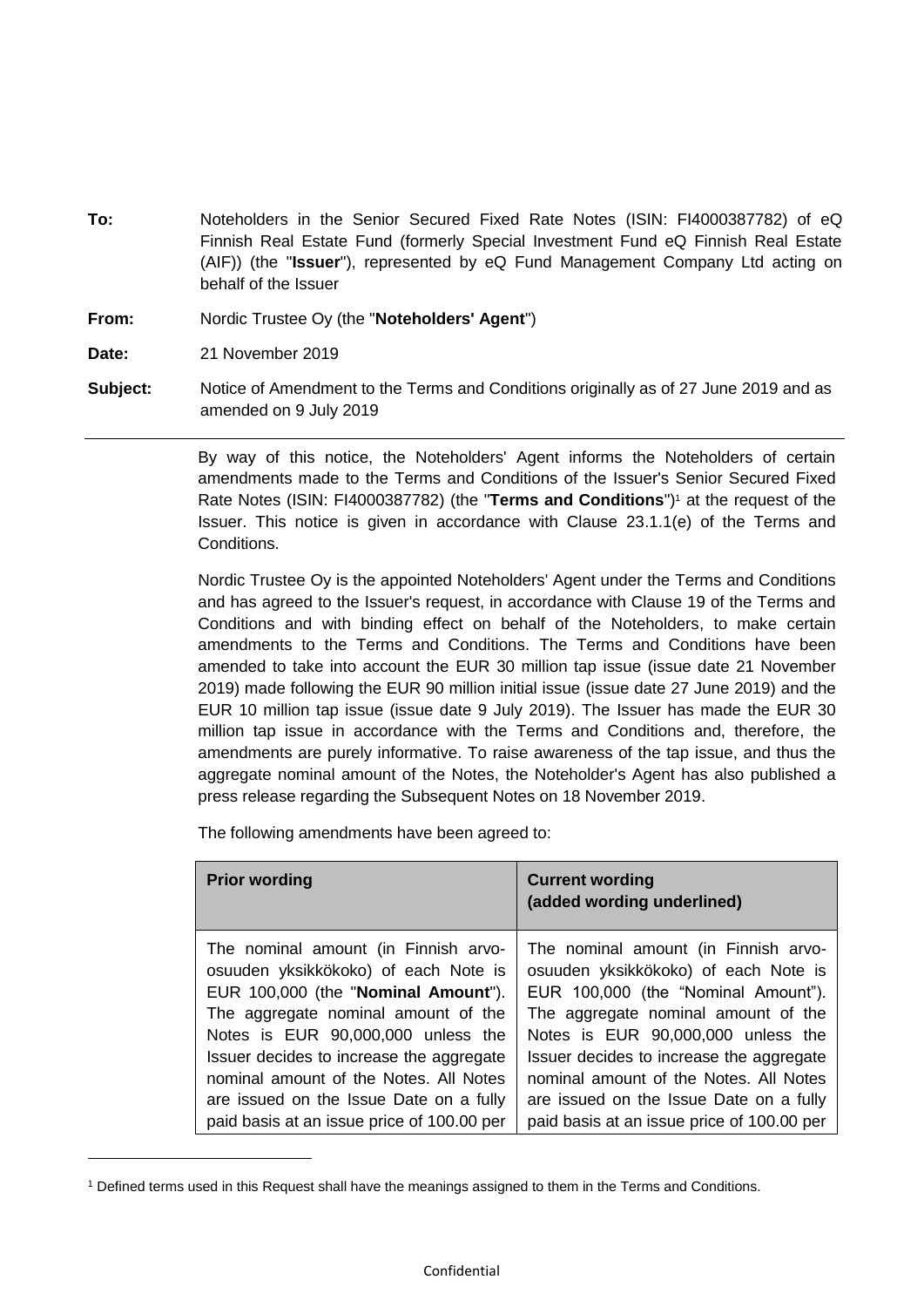- **To:** Noteholders in the Senior Secured Fixed Rate Notes (ISIN: FI4000387782) of eQ Finnish Real Estate Fund (formerly Special Investment Fund eQ Finnish Real Estate (AIF)) (the "**Issuer**"), represented by eQ Fund Management Company Ltd acting on behalf of the Issuer
- **From:** Nordic Trustee Oy (the "**Noteholders' Agent**")

**Date:** 21 November 2019

1

**Subject:** Notice of Amendment to the Terms and Conditions originally as of 27 June 2019 and as amended on 9 July 2019

> By way of this notice, the Noteholders' Agent informs the Noteholders of certain amendments made to the Terms and Conditions of the Issuer's Senior Secured Fixed Rate Notes (ISIN: FI4000387782) (the "Terms and Conditions")<sup>1</sup> at the request of the Issuer. This notice is given in accordance with Clause 23.1.1(e) of the Terms and Conditions.

> Nordic Trustee Oy is the appointed Noteholders' Agent under the Terms and Conditions and has agreed to the Issuer's request, in accordance with Clause 19 of the Terms and Conditions and with binding effect on behalf of the Noteholders, to make certain amendments to the Terms and Conditions. The Terms and Conditions have been amended to take into account the EUR 30 million tap issue (issue date 21 November 2019) made following the EUR 90 million initial issue (issue date 27 June 2019) and the EUR 10 million tap issue (issue date 9 July 2019). The Issuer has made the EUR 30 million tap issue in accordance with the Terms and Conditions and, therefore, the amendments are purely informative. To raise awareness of the tap issue, and thus the aggregate nominal amount of the Notes, the Noteholder's Agent has also published a press release regarding the Subsequent Notes on 18 November 2019.

The following amendments have been agreed to:

| <b>Prior wording</b>                       | <b>Current wording</b><br>(added wording underlined) |
|--------------------------------------------|------------------------------------------------------|
| The nominal amount (in Finnish arvo-       | The nominal amount (in Finnish arvo-                 |
| osuuden yksikkökoko) of each Note is       | osuuden yksikkökoko) of each Note is                 |
| EUR 100,000 (the "Nominal Amount").        | EUR 100,000 (the "Nominal Amount").                  |
| The aggregate nominal amount of the        | The aggregate nominal amount of the                  |
| Notes is EUR 90,000,000 unless the         | Notes is EUR 90,000,000 unless the                   |
| Issuer decides to increase the aggregate   | Issuer decides to increase the aggregate             |
| nominal amount of the Notes. All Notes     | nominal amount of the Notes. All Notes               |
| are issued on the Issue Date on a fully    | are issued on the Issue Date on a fully              |
| paid basis at an issue price of 100.00 per | paid basis at an issue price of 100.00 per           |

<sup>1</sup> Defined terms used in this Request shall have the meanings assigned to them in the Terms and Conditions.